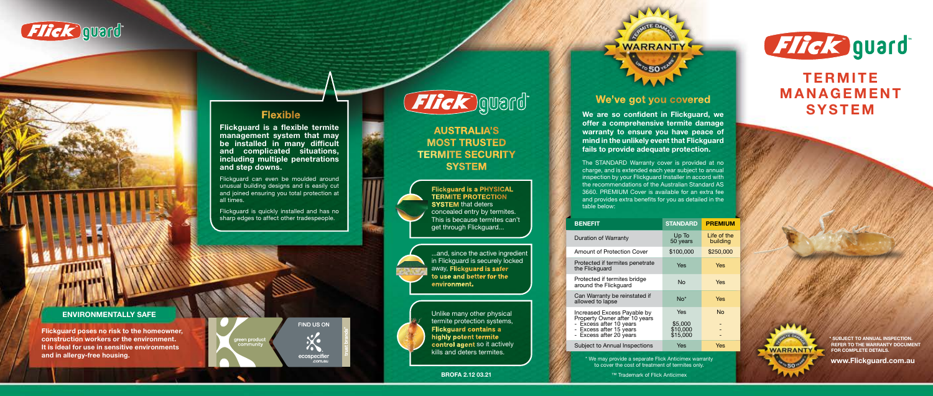

#### **Flexible**

### We've got you covered

We are so confident in Flickguard, we offer a comprehensive termite damage warranty to ensure you have peace of mind in the unlikely event that Flickguard fails to provide adequate protection.

The STANDARD Warranty cover is provided at no charge, and is extended each year subject to annual inspection by your Flickguard Installer in accord with the recommendations of the Australian Standard AS 3660. PREMIUM Cover is available for an extra fee and provides extra benefits for you as detailed in the table below:

#### **BENEFIT**

Duration

Protecte

- Excess - Excess Subject t

| <b>BENEFIT</b>                                                                                                     | <b>STANDARD</b>            | <b>PREMIUM</b>          |
|--------------------------------------------------------------------------------------------------------------------|----------------------------|-------------------------|
| Duration of Warranty                                                                                               | Up To<br>50 years          | Life of the<br>building |
| Amount of Protection Cover                                                                                         | \$100,000                  | \$250,000               |
| Protected if termites penetrate<br>the Flickguard                                                                  | Yes                        | Yes                     |
| Protected if termites bridge<br>around the Flickguard                                                              | Nο                         | <b>Yes</b>              |
| Can Warranty be reinstated if<br>allowed to lapse                                                                  | $No*$                      | Yes                     |
| Increased Excess Payable by<br>Property Owner after 10 years<br>- Excess after 10 years<br>- Excess after 15 years | Yes<br>\$5,000<br>\$10,000 | No                      |
| - Excess after 20 years                                                                                            | \$15,000                   |                         |
| Subject to Annual Inspections                                                                                      | Yes                        | Yes                     |

#### AUSTRALIA'S MOST TRUSTED TERMITE SECURITY **SYSTEM**

SUBJECT TO ANNUAL INSPECTION. REFER TO THE WARRANTY DOCUMENT FOR COMPLETE DETAILS.

**WARRANTY** 

\* We may provide a separate Flick Anticimex warranty to cover the cost of treatment of termites only.

**BROFA 2.12 03.21** ■ Trademark of Flick Anticimex



## **TERMITE** MANAGEMENT **SYSTEM**

Flickguard is quickly installed and has no sharp edges to affect other tradespeople.

# Flick gward

Flickguard is a PHYSICAL TERMITE PROTECTION **SYSTEM** that deters concealed entry by termites. This is because termites can't get through Flickguard...

...and, since the active ingredient in Flickguard is securely locked away, Flickguard is safer to use and better for the environment.

> Unlike many other physical termite protection systems, Flickguard contains a highly potent termite control agent so it actively kills and deters termites.

www.Flickguard.com.au

Flickguard poses no risk to the homeowner, construction workers or the environment. It is ideal for use in sensitive environments and in allergy-free housing.

reen produ



ecospecifier<br>com.au.





#### ENVIRONMENTALLY SAFE

 $mm$ 

Flickguard is a flexible termite management system that may be installed in many difficult and complicated situations, including multiple penetrations and step downs.

Flickguard can even be moulded around unusual building designs and is easily cut and joined ensuring you total protection at all times.